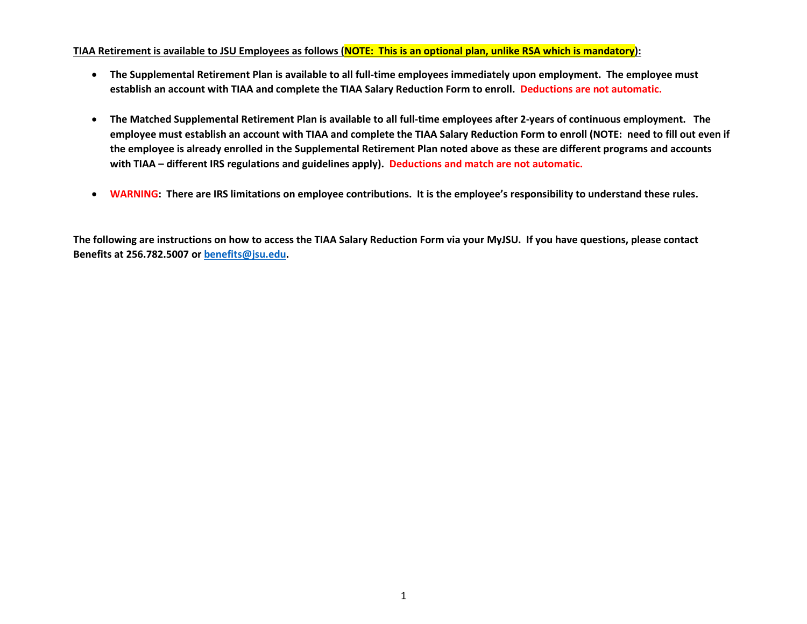#### **TIAA Retirement is available to JSU Employees as follows (NOTE: This is an optional plan, unlike RSA which is mandatory):**

- **The Supplemental Retirement Plan is available to all full-time employees immediately upon employment. The employee must establish an account with TIAA and complete the TIAA Salary Reduction Form to enroll. Deductions are not automatic.**
- **The Matched Supplemental Retirement Plan is available to all full-time employees after 2-years of continuous employment. The employee must establish an account with TIAA and complete the TIAA Salary Reduction Form to enroll (NOTE: need to fill out even if the employee is already enrolled in the Supplemental Retirement Plan noted above as these are different programs and accounts with TIAA – different IRS regulations and guidelines apply). Deductions and match are not automatic.**
- **WARNING: There are IRS limitations on employee contributions. It is the employee's responsibility to understand these rules.**

**The following are instructions on how to access the TIAA Salary Reduction Form via your MyJSU. If you have questions, please contact Benefits at 256.782.5007 or [benefits@jsu.edu.](mailto:benefits@jsu.edu)**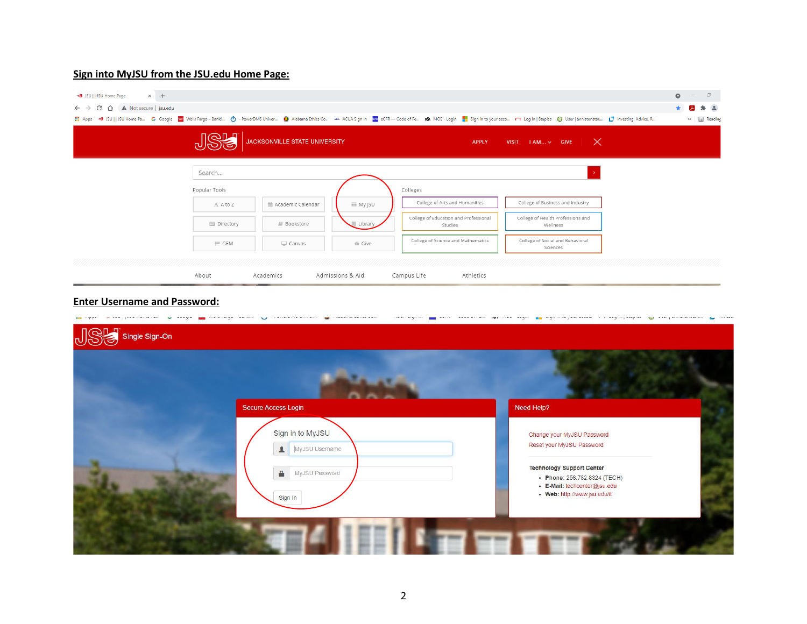# **Sign into MyJSU from the JSU.edu Home Page:**

| SU     JSU Home Page<br>$\times$ +<br>$\leftarrow$ $\rightarrow$ $\leftarrow$ $\leftarrow$ $\leftarrow$ $\leftarrow$ A Not secure   jsu.edu |                         |                               |                   |                                                  | ::: Apps < JSU   JSU Home Pa G Google WW Wells Fargo-Banki ( P - PowerDMS Univer ( Alabama Ethics Co An ACUA Sign In an ACUA Sign In an eCCH Fe R NOS - Login and Solver acco not login   Siaples ( User | $\Box$<br>$\bullet$<br>$\bullet$<br>人<br>* (A)<br>» <b>El Reading</b> |
|---------------------------------------------------------------------------------------------------------------------------------------------|-------------------------|-------------------------------|-------------------|--------------------------------------------------|----------------------------------------------------------------------------------------------------------------------------------------------------------------------------------------------------------|-----------------------------------------------------------------------|
|                                                                                                                                             | <b>NQLT</b>             | JACKSONVILLE STATE UNIVERSITY |                   | APPLY                                            | VISIT $1AM$ GIVE $\mathbb{X}$                                                                                                                                                                            |                                                                       |
|                                                                                                                                             | Search<br>Popular Tools |                               |                   | Colleges                                         |                                                                                                                                                                                                          |                                                                       |
|                                                                                                                                             | A A to Z                | ■ Academic Calendar           | <b>III</b> My JSU | College of Arts and Humanities                   | College of Business and Industry                                                                                                                                                                         |                                                                       |
|                                                                                                                                             | <b>国</b> Directory      | Bookstore                     | Library           | College of Education and Professional<br>Studies | College of Health Professions and<br>Wellness                                                                                                                                                            |                                                                       |
|                                                                                                                                             | $\equiv$ GEM            | Canvas                        | 音 Give            | College of Science and Mathematics               | College of Social and Behavioral<br>Sciences                                                                                                                                                             |                                                                       |
|                                                                                                                                             | About                   | Academics                     | Admissions & Aid  | Campus Life<br>Athletics                         |                                                                                                                                                                                                          |                                                                       |

# **Enter Username and Password:**

| Secure Access Login                                    | Need Help?                                                                                                                       |
|--------------------------------------------------------|----------------------------------------------------------------------------------------------------------------------------------|
| Sign in to MyJSU<br>MyJSU Username<br>$\blacktriangle$ | Change your MyJSU Password<br>Reset your MyJSU Password                                                                          |
| MyJSU Password<br>€<br>Sign In                         | <b>Technology Support Center</b><br>• Phone: 256.782.8324 (TECH)<br>· E-Mail: techcenter@jsu.edu<br>• Web: http://www.jsu.edu/it |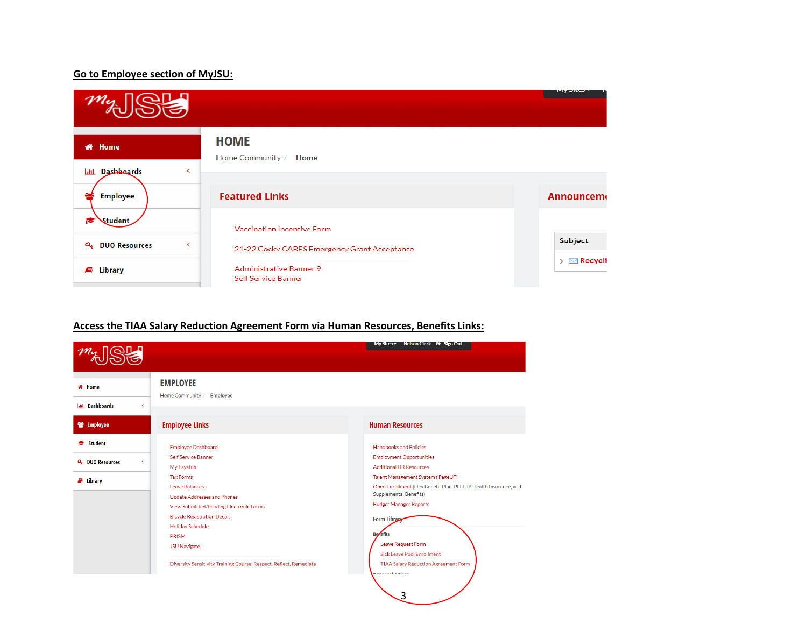## **Go to Employee section of MyJSU:**

|                                       |                                                       | тир энем.                            |
|---------------------------------------|-------------------------------------------------------|--------------------------------------|
| <b># Home</b>                         | <b>HOME</b><br>Home Community / Home                  |                                      |
| <b>Dashboards</b><br><b>Jail</b><br>≺ |                                                       |                                      |
| <b>Employee</b>                       | <b>Featured Links</b>                                 | <b>Announcem</b>                     |
| Student                               | Vaccination Incentive Form                            |                                      |
| <b>Q.</b> DUO Resources<br>K          | 21-22 Cocky CARES Emergency Grant Acceptance          | Subject                              |
| Library<br>Ø                          | <b>Administrative Banner 9</b><br>Self Service Banner | $\triangleright \ \boxtimes$ Recycli |

# **Access the TIAA Salary Reduction Agreement Form via Human Resources, Benefits Links:**

|                              |                                                                                                                                                                                                                      | My Sites ▼ Nelson Clark D Sign Out                                                                                                                                                                                                                             |
|------------------------------|----------------------------------------------------------------------------------------------------------------------------------------------------------------------------------------------------------------------|----------------------------------------------------------------------------------------------------------------------------------------------------------------------------------------------------------------------------------------------------------------|
| Home                         | <b>EMPLOYEE</b><br>Home Community / Employee                                                                                                                                                                         |                                                                                                                                                                                                                                                                |
| <b>Idd</b> Dashboards        | $\overline{\phantom{0}}$                                                                                                                                                                                             |                                                                                                                                                                                                                                                                |
| <b>警</b> Employee            | <b>Employee Links</b>                                                                                                                                                                                                | <b>Human Resources</b>                                                                                                                                                                                                                                         |
| <b>Student</b>               | <b>Employee Dashboard</b>                                                                                                                                                                                            | <b>Handbooks and Policies</b>                                                                                                                                                                                                                                  |
| Q <sub>v</sub> DUO Resources | Self Service Banner<br>k.<br>My Paystub                                                                                                                                                                              | <b>Employment Opportunities</b><br><b>Additional HR Resources</b>                                                                                                                                                                                              |
| $\mathcal{L}$ Library        | <b>Tax Forms</b><br>Leave Balances<br><b>Update Addresses and Phones</b><br>View Submitted/Pending Electronic Forms<br><b>Bicycle Registration Decals</b><br><b>Holiday Schedule</b><br>PRISM<br><b>JSU Navigate</b> | Talent Management System (PageUP)<br>Open Enrollment (Flex Benefit Plan, PEEHIP Health Insurance, and<br><b>Supplemental Benefits)</b><br><b>Budget Manager Reports</b><br>Form Library<br><b>Bezefits</b><br>Leave Request Form<br>Sick Leave Pool Enrollment |
|                              | Diversity Sensitivity Training Course: Respect, Reflect, Remediate                                                                                                                                                   | TIAA Salary Reduction Agreement Form<br><b>Namaninal Katana</b><br>3                                                                                                                                                                                           |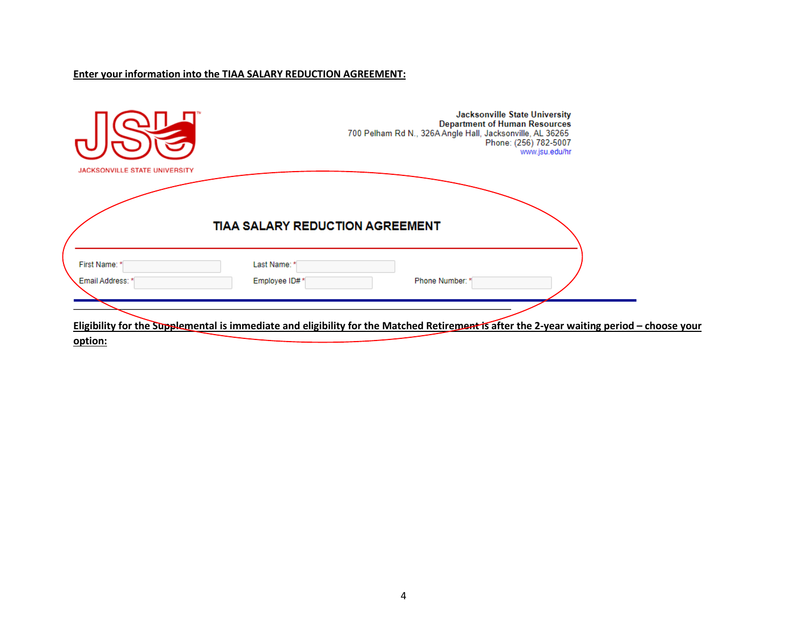## **Enter your information into the TIAA SALARY REDUCTION AGREEMENT:**

| <b>JACKSONVILLE STATE UNIVERSITY</b> |                                 | Jacksonville State University<br><b>Department of Human Resources</b><br>700 Pelham Rd N., 326A Angle Hall, Jacksonville, AL 36265<br>Phone: (256) 782-5007<br>www.jsu.edu/hr |  |
|--------------------------------------|---------------------------------|-------------------------------------------------------------------------------------------------------------------------------------------------------------------------------|--|
|                                      | TIAA SALARY REDUCTION AGREEMENT |                                                                                                                                                                               |  |
| First Name: *<br>Email Address: *    | Last Name: *<br>Employee ID#*   | Phone Number: *                                                                                                                                                               |  |
| option:                              |                                 | Eligibility for the Supplemental is immediate and eligibility for the Matched Retirement is after the 2-year waiting period - choose your                                     |  |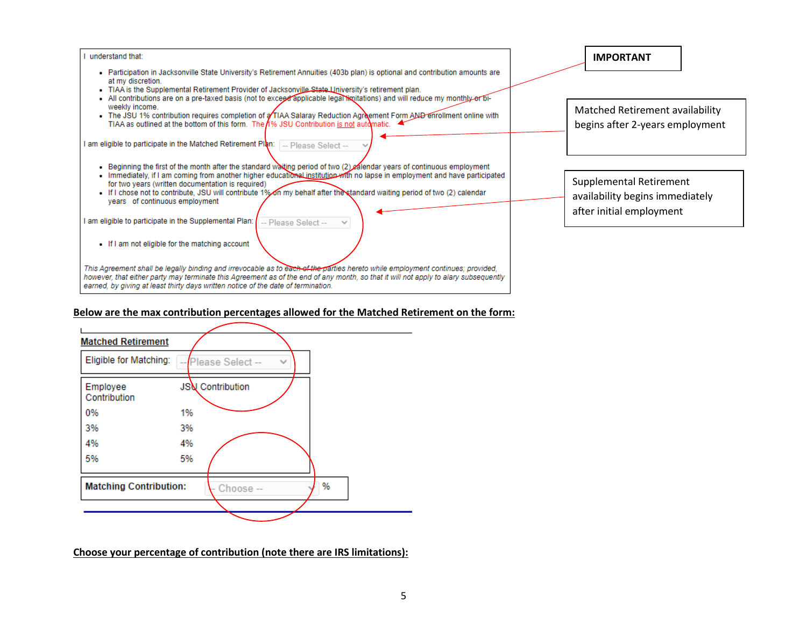

#### **Below are the max contribution percentages allowed for the Matched Retirement on the form:**



**Choose your percentage of contribution (note there are IRS limitations):**